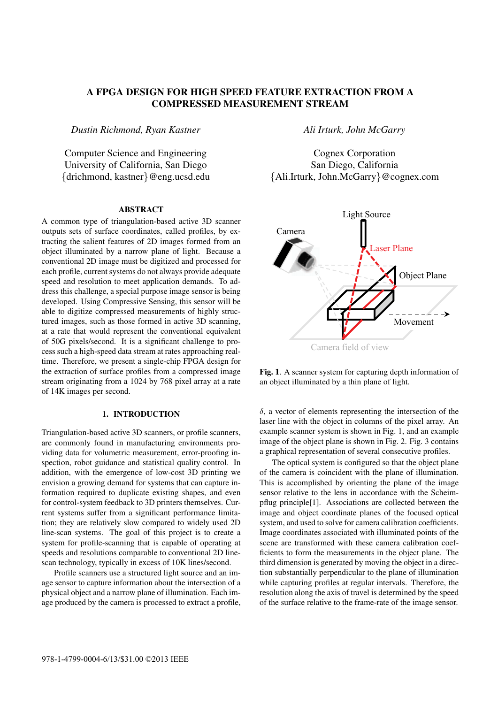# A FPGA DESIGN FOR HIGH SPEED FEATURE EXTRACTION FROM A COMPRESSED MEASUREMENT STREAM

*Dustin Richmond, Ryan Kastner*

Computer Science and Engineering University of California, San Diego {drichmond, kastner}@eng.ucsd.edu

# **ABSTRACT**

A common type of triangulation-based active 3D scanner outputs sets of surface coordinates, called profiles, by extracting the salient features of 2D images formed from an object illuminated by a narrow plane of light. Because a conventional 2D image must be digitized and processed for each profile, current systems do not always provide adequate speed and resolution to meet application demands. To address this challenge, a special purpose image sensor is being developed. Using Compressive Sensing, this sensor will be able to digitize compressed measurements of highly structured images, such as those formed in active 3D scanning, at a rate that would represent the conventional equivalent of 50G pixels/second. It is a significant challenge to process such a high-speed data stream at rates approaching realtime. Therefore, we present a single-chip FPGA design for the extraction of surface profiles from a compressed image stream originating from a 1024 by 768 pixel array at a rate of 14K images per second.

# 1. INTRODUCTION

Triangulation-based active 3D scanners, or profile scanners, are commonly found in manufacturing environments providing data for volumetric measurement, error-proofing inspection, robot guidance and statistical quality control. In addition, with the emergence of low-cost 3D printing we envision a growing demand for systems that can capture information required to duplicate existing shapes, and even for control-system feedback to 3D printers themselves. Current systems suffer from a significant performance limitation; they are relatively slow compared to widely used 2D line-scan systems. The goal of this project is to create a system for profile-scanning that is capable of operating at speeds and resolutions comparable to conventional 2D linescan technology, typically in excess of 10K lines/second.

Profile scanners use a structured light source and an image sensor to capture information about the intersection of a physical object and a narrow plane of illumination. Each image produced by the camera is processed to extract a profile,

*Ali Irturk, John McGarry*

Cognex Corporation San Diego, California {Ali.Irturk, John.McGarry}@cognex.com



Fig. 1. A scanner system for capturing depth information of an object illuminated by a thin plane of light.

 $\delta$ , a vector of elements representing the intersection of the laser line with the object in columns of the pixel array. An example scanner system is shown in Fig. 1, and an example image of the object plane is shown in Fig. 2. Fig. 3 contains a graphical representation of several consecutive profiles.

The optical system is configured so that the object plane of the camera is coincident with the plane of illumination. This is accomplished by orienting the plane of the image sensor relative to the lens in accordance with the Scheimpflug principle[1]. Associations are collected between the image and object coordinate planes of the focused optical system, and used to solve for camera calibration coefficients. Image coordinates associated with illuminated points of the scene are transformed with these camera calibration coefficients to form the measurements in the object plane. The third dimension is generated by moving the object in a direction substantially perpendicular to the plane of illumination while capturing profiles at regular intervals. Therefore, the resolution along the axis of travel is determined by the speed of the surface relative to the frame-rate of the image sensor.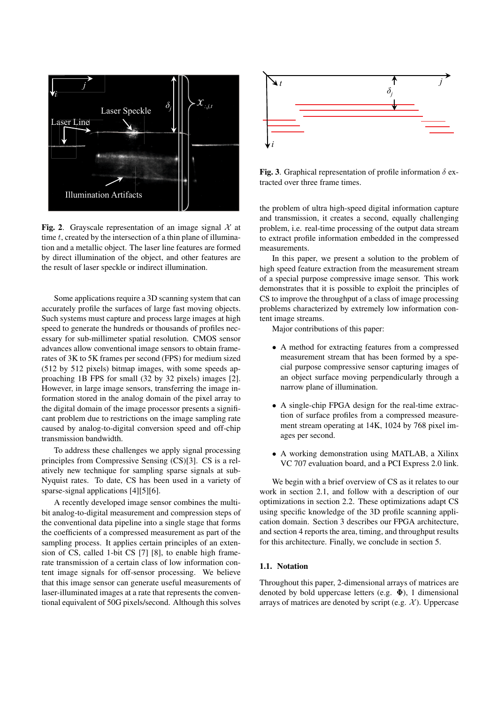

Fig. 2. Grayscale representation of an image signal  $\mathcal{X}$  at time  $t$ , created by the intersection of a thin plane of illumination and a metallic object. The laser line features are formed by direct illumination of the object, and other features are the result of laser speckle or indirect illumination.

Some applications require a 3D scanning system that can accurately profile the surfaces of large fast moving objects. Such systems must capture and process large images at high speed to generate the hundreds or thousands of profiles necessary for sub-millimeter spatial resolution. CMOS sensor advances allow conventional image sensors to obtain framerates of 3K to 5K frames per second (FPS) for medium sized (512 by 512 pixels) bitmap images, with some speeds approaching 1B FPS for small (32 by 32 pixels) images [2]. However, in large image sensors, transferring the image information stored in the analog domain of the pixel array to the digital domain of the image processor presents a significant problem due to restrictions on the image sampling rate caused by analog-to-digital conversion speed and off-chip transmission bandwidth.

To address these challenges we apply signal processing principles from Compressive Sensing (CS)[3]. CS is a relatively new technique for sampling sparse signals at sub-Nyquist rates. To date, CS has been used in a variety of sparse-signal applications [4][5][6].

A recently developed image sensor combines the multibit analog-to-digital measurement and compression steps of the conventional data pipeline into a single stage that forms the coefficients of a compressed measurement as part of the sampling process. It applies certain principles of an extension of CS, called 1-bit CS [7] [8], to enable high framerate transmission of a certain class of low information content image signals for off-sensor processing. We believe that this image sensor can generate useful measurements of laser-illuminated images at a rate that represents the conventional equivalent of 50G pixels/second. Although this solves



Fig. 3. Graphical representation of profile information  $\delta$  extracted over three frame times.

the problem of ultra high-speed digital information capture and transmission, it creates a second, equally challenging problem, i.e. real-time processing of the output data stream to extract profile information embedded in the compressed measurements.

In this paper, we present a solution to the problem of high speed feature extraction from the measurement stream of a special purpose compressive image sensor. This work demonstrates that it is possible to exploit the principles of CS to improve the throughput of a class of image processing problems characterized by extremely low information content image streams.

Major contributions of this paper:

- A method for extracting features from a compressed measurement stream that has been formed by a special purpose compressive sensor capturing images of an object surface moving perpendicularly through a narrow plane of illumination.
- A single-chip FPGA design for the real-time extraction of surface profiles from a compressed measurement stream operating at 14K, 1024 by 768 pixel images per second.
- A working demonstration using MATLAB, a Xilinx VC 707 evaluation board, and a PCI Express 2.0 link.

We begin with a brief overview of CS as it relates to our work in section 2.1, and follow with a description of our optimizations in section 2.2. These optimizations adapt CS using specific knowledge of the 3D profile scanning application domain. Section 3 describes our FPGA architecture, and section 4 reports the area, timing, and throughput results for this architecture. Finally, we conclude in section 5.

# 1.1. Notation

Throughout this paper, 2-dimensional arrays of matrices are denoted by bold uppercase letters (e.g.  $\Phi$ ), 1 dimensional arrays of matrices are denoted by script (e.g.  $\mathcal{X}$ ). Uppercase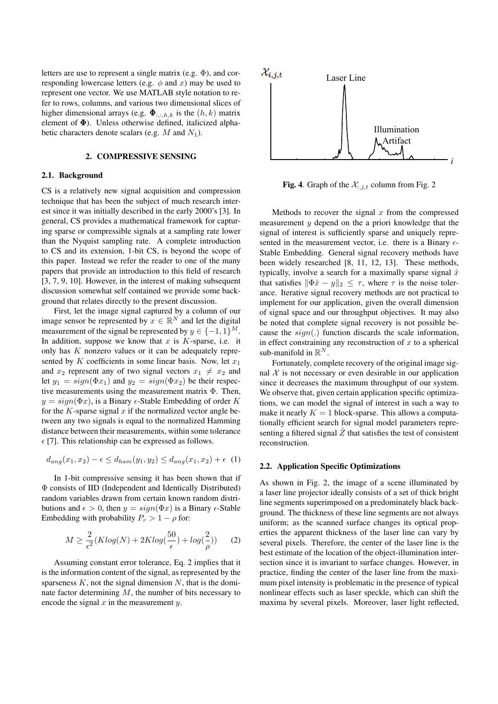letters are use to represent a single matrix (e.g. Φ), and corresponding lowercase letters (e.g.  $\phi$  and x) may be used to represent one vector. We use MATLAB style notation to refer to rows, columns, and various two dimensional slices of higher dimensional arrays (e.g.  $\mathbf{\Phi}_{::,:h,k}$  is the  $(h,k)$  matrix element of Φ). Unless otherwise defined, italicized alphabetic characters denote scalars (e.g.  $M$  and  $N_1$ ).

### 2. COMPRESSIVE SENSING

#### 2.1. Background

CS is a relatively new signal acquisition and compression technique that has been the subject of much research interest since it was initially described in the early 2000's [3]. In general, CS provides a mathematical framework for capturing sparse or compressible signals at a sampling rate lower than the Nyquist sampling rate. A complete introduction to CS and its extension, 1-bit CS, is beyond the scope of this paper. Instead we refer the reader to one of the many papers that provide an introduction to this field of research [3, 7, 9, 10]. However, in the interest of making subsequent discussion somewhat self contained we provide some background that relates directly to the present discussion.

First, let the image signal captured by a column of our image sensor be represented by  $x \in \mathbb{R}^N$  and let the digital measurement of the signal be represented by  $y \in \{-1, 1\}^M$ . In addition, suppose we know that  $x$  is  $K$ -sparse, i.e. it only has  $K$  nonzero values or it can be adequately represented by K coefficients in some linear basis. Now, let  $x_1$ and  $x_2$  represent any of two signal vectors  $x_1 \neq x_2$  and let  $y_1 = sign(\Phi x_1)$  and  $y_2 = sign(\Phi x_2)$  be their respective measurements using the measurement matrix  $\Phi$ . Then,  $y = sign(\Phi x)$ , is a Binary  $\epsilon$ -Stable Embedding of order K for the K-sparse signal  $x$  if the normalized vector angle between any two signals is equal to the normalized Hamming distance between their measurements, within some tolerance  $\epsilon$  [7]. This relationship can be expressed as follows.

$$
d_{ang}(x_1, x_2) - \epsilon \leq d_{ham}(y_1, y_2) \leq d_{ang}(x_1, x_2) + \epsilon \tag{1}
$$

In 1-bit compressive sensing it has been shown that if Φ consists of IID (Independent and Identically Distributed) random variables drawn from certain known random distributions and  $\epsilon > 0$ , then  $y = sign(\Phi x)$  is a Binary  $\epsilon$ -Stable Embedding with probability  $P_r > 1 - \rho$  for:

$$
M \ge \frac{2}{\epsilon^2} (K \log(N) + 2K \log(\frac{50}{\epsilon}) + \log(\frac{2}{\rho})) \tag{2}
$$

Assuming constant error tolerance, Eq. 2 implies that it is the information content of the signal, as represented by the sparseness  $K$ , not the signal dimension  $N$ , that is the dominate factor determining  $M$ , the number of bits necessary to encode the signal  $x$  in the measurement  $y$ .



Fig. 4. Graph of the  $\mathcal{X}_{:,j,t}$  column from Fig. 2

Methods to recover the signal  $x$  from the compressed measurement y depend on the a priori knowledge that the signal of interest is sufficiently sparse and uniquely represented in the measurement vector, i.e. there is a Binary  $\epsilon$ -Stable Embedding. General signal recovery methods have been widely researched [8, 11, 12, 13]. These methods, typically, involve a search for a maximally sparse signal  $\hat{x}$ that satisfies  $\|\Phi \hat{x} - y\|_2 \leq \tau$ , where  $\tau$  is the noise tolerance. Iterative signal recovery methods are not practical to implement for our application, given the overall dimension of signal space and our throughput objectives. It may also be noted that complete signal recovery is not possible because the  $sign(.)$  function discards the scale information, in effect constraining any reconstruction of  $x$  to a spherical sub-manifold in  $\mathbb{R}^N$ .

Fortunately, complete recovery of the original image signal  $X$  is not necessary or even desirable in our application since it decreases the maximum throughput of our system. We observe that, given certain application specific optimizations, we can model the signal of interest in such a way to make it nearly  $K = 1$  block-sparse. This allows a computationally efficient search for signal model parameters representing a filtered signal  $\overline{Z}$  that satisfies the test of consistent reconstruction.

# 2.2. Application Specific Optimizations

As shown in Fig. 2, the image of a scene illuminated by a laser line projector ideally consists of a set of thick bright line segments superimposed on a predominately black background. The thickness of these line segments are not always uniform; as the scanned surface changes its optical properties the apparent thickness of the laser line can vary by several pixels. Therefore, the center of the laser line is the best estimate of the location of the object-illumination intersection since it is invariant to surface changes. However, in practice, finding the center of the laser line from the maximum pixel intensity is problematic in the presence of typical nonlinear effects such as laser speckle, which can shift the maxima by several pixels. Moreover, laser light reflected,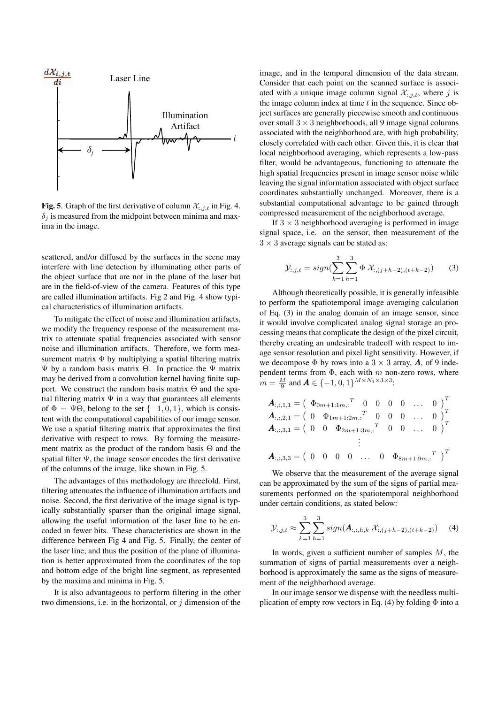

Fig. 5. Graph of the first derivative of column  $\mathcal{X}_{:,j,t}$  in Fig. 4.  $\delta_i$  is measured from the midpoint between minima and maxima in the image.

scattered, and/or diffused by the surfaces in the scene may interfere with line detection by illuminating other parts of the object surface that are not in the plane of the laser but are in the field-of-view of the camera. Features of this type are called illumination artifacts. Fig 2 and Fig. 4 show typical characteristics of illumination artifacts.

To mitigate the effect of noise and illumination artifacts, we modify the frequency response of the measurement matrix to attenuate spatial frequencies associated with sensor noise and illumination artifacts. Therefore, we form measurement matrix Φ by multiplying a spatial filtering matrix Ψ by a random basis matrix Θ. In practice the Ψ matrix may be derived from a convolution kernel having finite support. We construct the random basis matrix  $\Theta$  and the spatial filtering matrix  $\Psi$  in a way that guarantees all elements of  $\Phi = \Psi\Theta$ , belong to the set  $\{-1, 0, 1\}$ , which is consistent with the computational capabilities of our image sensor. We use a spatial filtering matrix that approximates the first derivative with respect to rows. By forming the measurement matrix as the product of the random basis Θ and the spatial filter  $\Psi$ , the image sensor encodes the first derivative of the columns of the image, like shown in Fig. 5.

The advantages of this methodology are threefold. First, filtering attenuates the influence of illumination artifacts and noise. Second, the first derivative of the image signal is typically substantially sparser than the original image signal, allowing the useful information of the laser line to be encoded in fewer bits. These characteristics are shown in the difference between Fig 4 and Fig. 5. Finally, the center of the laser line, and thus the position of the plane of illumination is better approximated from the coordinates of the top and bottom edge of the bright line segment, as represented by the maxima and minima in Fig. 5.

It is also advantageous to perform filtering in the other two dimensions, i.e. in the horizontal, or  $j$  dimension of the image, and in the temporal dimension of the data stream. Consider that each point on the scanned surface is associated with a unique image column signal  $\mathcal{X}_{i,j,t}$ , where j is the image column index at time  $t$  in the sequence. Since object surfaces are generally piecewise smooth and continuous over small  $3 \times 3$  neighborhoods, all 9 image signal columns associated with the neighborhood are, with high probability, closely correlated with each other. Given this, it is clear that local neighborhood averaging, which represents a low-pass filter, would be advantageous, functioning to attenuate the high spatial frequencies present in image sensor noise while leaving the signal information associated with object surface coordinates substantially unchanged. Moreover, there is a substantial computational advantage to be gained through compressed measurement of the neighborhood average.

If  $3 \times 3$  neighborhood averaging is performed in image signal space, i.e. on the sensor, then measurement of the  $3 \times 3$  average signals can be stated as:

$$
\mathcal{Y}_{:,j,t} = sign(\sum_{k=1}^{3} \sum_{h=1}^{3} \Phi \mathcal{X}_{:,(j+h-2),(t+k-2)}) \qquad (3)
$$

Although theoretically possible, it is generally infeasible to perform the spatiotemporal image averaging calculation of Eq. (3) in the analog domain of an image sensor, since it would involve complicated analog signal storage an processing means that complicate the design of the pixel circuit, thereby creating an undesirable tradeoff with respect to image sensor resolution and pixel light sensitivity. However, if we decompose  $\Phi$  by rows into a  $3 \times 3$  array, **A**, of 9 independent terms from  $\Phi$ , each with m non-zero rows, where  $m = \frac{M}{9}$  and  $\mathbf{A} \in \{-1, 0, 1\}^{M \times N_1 \times 3 \times 3}$ :

$$
\mathbf{A}_{:,,:,1,1} = \begin{pmatrix} \Phi_{0m+1:1m,:} & 0 & 0 & 0 & 0 & \dots & 0 \end{pmatrix}^T
$$
  
\n
$$
\mathbf{A}_{:,,:,2,1} = \begin{pmatrix} 0 & \Phi_{1m+1:2m,:} & 0 & 0 & 0 & \dots & 0 \end{pmatrix}^T
$$
  
\n
$$
\mathbf{A}_{:,:,3,1} = \begin{pmatrix} 0 & 0 & \Phi_{2m+1:3m,:} & 0 & 0 & \dots & 0 \end{pmatrix}^T
$$
  
\n
$$
\vdots
$$
  
\n
$$
\mathbf{A}_{:,:,3,3} = \begin{pmatrix} 0 & 0 & 0 & 0 & \dots & 0 & \Phi_{8m+1:9m,:} & 0 \end{pmatrix}^T
$$

We observe that the measurement of the average signal can be approximated by the sum of the signs of partial measurements performed on the spatiotemporal neighborhood under certain conditions, as stated below:

$$
\mathcal{Y}_{:,j,t} \approx \sum_{k=1}^{3} \sum_{h=1}^{3} sign(\boldsymbol{A}_{:,:,h,k} \; \mathcal{X}_{:,(j+h-2),(t+k-2)}) \quad (4)
$$

In words, given a sufficient number of samples  $M$ , the summation of signs of partial measurements over a neighborhood is approximately the same as the signs of measurement of the neighborhood average.

In our image sensor we dispense with the needless multiplication of empty row vectors in Eq. (4) by folding  $\Phi$  into a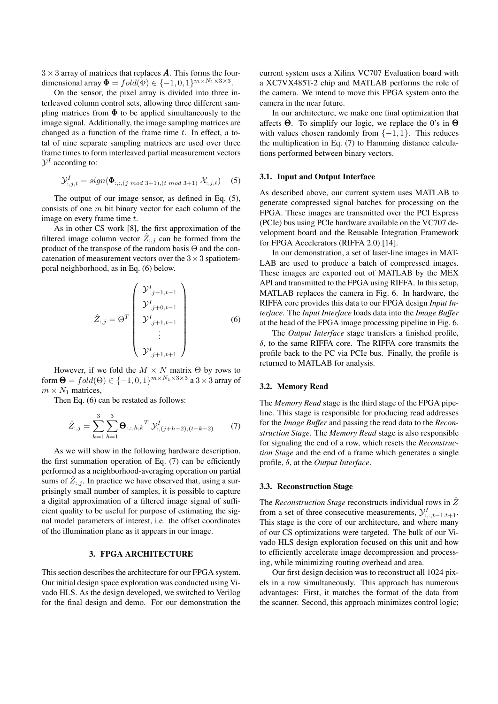$3 \times 3$  array of matrices that replaces A. This forms the fourdimensional array  $\mathbf{\Phi} = fold(\Phi) \in \{-1, 0, 1\}^{m \times N_1 \times 3 \times 3}$ .

On the sensor, the pixel array is divided into three interleaved column control sets, allowing three different sampling matrices from  $\Phi$  to be applied simultaneously to the image signal. Additionally, the image sampling matrices are changed as a function of the frame time  $t$ . In effect, a total of nine separate sampling matrices are used over three frame times to form interleaved partial measurement vectors  $\mathcal{Y}^I$  according to:

$$
\mathcal{Y}_{:,j,t}^I = sign(\mathbf{\Phi}_{:,:,(j \mod 3+1),(t \mod 3+1)} \mathcal{X}_{:,j,t}) \quad (5)
$$

The output of our image sensor, as defined in Eq. (5), consists of one  $m$  bit binary vector for each column of the image on every frame time t.

As in other CS work [8], the first approximation of the filtered image column vector  $Z_{:,j}$  can be formed from the product of the transpose of the random basis Θ and the concatenation of measurement vectors over the  $3 \times 3$  spatiotemporal neighborhood, as in Eq. (6) below.

$$
\hat{Z}_{:,j} = \Theta^T \begin{pmatrix} \mathcal{Y}_{:,j-1,t-1}^I \\ \mathcal{Y}_{:,j+0,t-1}^I \\ \mathcal{Y}_{:,j+1,t-1}^I \\ \vdots \\ \mathcal{Y}_{:,j+1,t+1}^I \end{pmatrix}
$$
(6)

However, if we fold the  $M \times N$  matrix  $\Theta$  by rows to form  $\Theta = fold(\Theta) \in \{-1, 0, 1\}^{m \times N_1 \times 3 \times 3}$  a  $3 \times 3$  array of  $m \times N_1$  matrices,

Then Eq. (6) can be restated as follows:

$$
\hat{Z}_{:,j} = \sum_{k=1}^{3} \sum_{h=1}^{3} \mathbf{\Theta}_{:,:,h,k}^T \mathcal{Y}_{:,(j+h-2),(t+k-2)}^I
$$
 (7)

As we will show in the following hardware description, the first summation operation of Eq. (7) can be efficiently performed as a neighborhood-averaging operation on partial sums of  $Z_{:,j}$ . In practice we have observed that, using a surprisingly small number of samples, it is possible to capture a digital approximation of a filtered image signal of sufficient quality to be useful for purpose of estimating the signal model parameters of interest, i.e. the offset coordinates of the illumination plane as it appears in our image.

# 3. FPGA ARCHITECTURE

This section describes the architecture for our FPGA system. Our initial design space exploration was conducted using Vivado HLS. As the design developed, we switched to Verilog for the final design and demo. For our demonstration the current system uses a Xilinx VC707 Evaluation board with a XC7VX485T-2 chip and MATLAB performs the role of the camera. We intend to move this FPGA system onto the camera in the near future.

In our architecture, we make one final optimization that affects  $\Theta$ . To simplify our logic, we replace the 0's in  $\Theta$ with values chosen randomly from  $\{-1, 1\}$ . This reduces the multiplication in Eq. (7) to Hamming distance calculations performed between binary vectors.

## 3.1. Input and Output Interface

As described above, our current system uses MATLAB to generate compressed signal batches for processing on the FPGA. These images are transmitted over the PCI Express (PCIe) bus using PCIe hardware available on the VC707 development board and the Reusable Integration Framework for FPGA Accelerators (RIFFA 2.0) [14].

In our demonstration, a set of laser-line images in MAT-LAB are used to produce a batch of compressed images. These images are exported out of MATLAB by the MEX API and transmitted to the FPGA using RIFFA. In this setup, MATLAB replaces the camera in Fig. 6. In hardware, the RIFFA core provides this data to our FPGA design *Input Interface*. The *Input Interface* loads data into the *Image Buffer* at the head of the FPGA image processing pipeline in Fig. 6.

The *Output Interface* stage transfers a finished profile,  $\delta$ , to the same RIFFA core. The RIFFA core transmits the profile back to the PC via PCIe bus. Finally, the profile is returned to MATLAB for analysis.

#### 3.2. Memory Read

The *Memory Read* stage is the third stage of the FPGA pipeline. This stage is responsible for producing read addresses for the *Image Buffer* and passing the read data to the *Reconstruction Stage*. The *Memory Read* stage is also responsible for signaling the end of a row, which resets the *Reconstruction Stage* and the end of a frame which generates a single profile, δ, at the *Output Interface*.

## 3.3. Reconstruction Stage

The *Reconstruction Stage* reconstructs individual rows in  $\hat{Z}$ from a set of three consecutive measurements,  $y_{i,:t-1:t+1}^I$ . This stage is the core of our architecture, and where many of our CS optimizations were targeted. The bulk of our Vivado HLS design exploration focused on this unit and how to efficiently accelerate image decompression and processing, while minimizing routing overhead and area.

Our first design decision was to reconstruct all 1024 pixels in a row simultaneously. This approach has numerous advantages: First, it matches the format of the data from the scanner. Second, this approach minimizes control logic;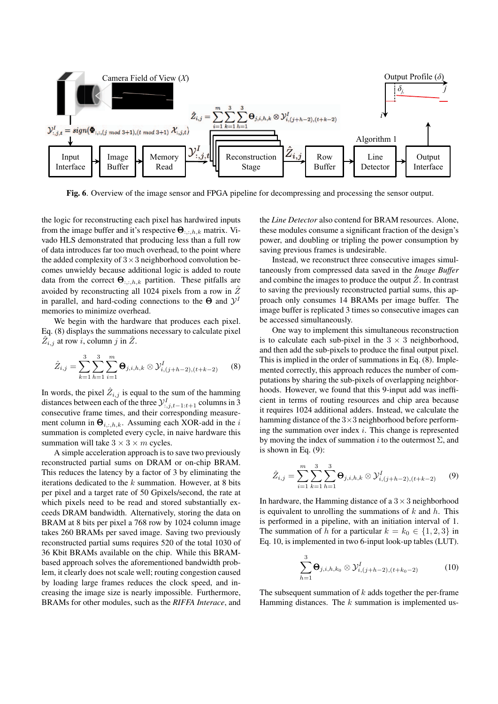

Fig. 6. Overview of the image sensor and FPGA pipeline for decompressing and processing the sensor output.

the logic for reconstructing each pixel has hardwired inputs from the image buffer and it's respective  $\Theta_{::,h,k}$  matrix. Vivado HLS demonstrated that producing less than a full row of data introduces far too much overhead, to the point where the added complexity of  $3 \times 3$  neighborhood convolution becomes unwieldy because additional logic is added to route data from the correct  $\Theta_{::,h,k}$  partition. These pitfalls are avoided by reconstructing all 1024 pixels from a row in  $\hat{Z}$ in parallel, and hard-coding connections to the  $\Theta$  and  $\mathcal{Y}^I$ memories to minimize overhead.

We begin with the hardware that produces each pixel. Eq. (8) displays the summations necessary to calculate pixel  $Z_{i,j}$  at row i, column j in  $Z$ .

$$
\hat{Z}_{i,j} = \sum_{k=1}^{3} \sum_{h=1}^{3} \sum_{i=1}^{m} \mathbf{\Theta}_{j,i,h,k} \otimes \mathcal{Y}_{i,(j+h-2),(t+k-2)}^{I}
$$
 (8)

In words, the pixel  $\hat{Z}_{i,j}$  is equal to the sum of the hamming distances between each of the three  $\mathcal{Y}_{:,j,t-1:t+1}^I$  columns in 3 consecutive frame times, and their corresponding measurement column in  $\Theta_{i,:h,k}$ . Assuming each XOR-add in the i summation is completed every cycle, in naive hardware this summation will take  $3 \times 3 \times m$  cycles.

A simple acceleration approach is to save two previously reconstructed partial sums on DRAM or on-chip BRAM. This reduces the latency by a factor of 3 by eliminating the iterations dedicated to the  $k$  summation. However, at 8 bits per pixel and a target rate of 50 Gpixels/second, the rate at which pixels need to be read and stored substantially exceeds DRAM bandwidth. Alternatively, storing the data on BRAM at 8 bits per pixel a 768 row by 1024 column image takes 260 BRAMs per saved image. Saving two previously reconstructed partial sums requires 520 of the total 1030 of 36 Kbit BRAMs available on the chip. While this BRAMbased approach solves the aforementioned bandwidth problem, it clearly does not scale well; routing congestion caused by loading large frames reduces the clock speed, and increasing the image size is nearly impossible. Furthermore, BRAMs for other modules, such as the *RIFFA Interace*, and the *Line Detector* also contend for BRAM resources. Alone, these modules consume a significant fraction of the design's power, and doubling or tripling the power consumption by saving previous frames is undesirable.

Instead, we reconstruct three consecutive images simultaneously from compressed data saved in the *Image Buffer* and combine the images to produce the output  $\hat{Z}$ . In contrast to saving the previously reconstructed partial sums, this approach only consumes 14 BRAMs per image buffer. The image buffer is replicated 3 times so consecutive images can be accessed simultaneously.

One way to implement this simultaneous reconstruction is to calculate each sub-pixel in the  $3 \times 3$  neighborhood, and then add the sub-pixels to produce the final output pixel. This is implied in the order of summations in Eq. (8). Implemented correctly, this approach reduces the number of computations by sharing the sub-pixels of overlapping neighborhoods. However, we found that this 9-input add was inefficient in terms of routing resources and chip area because it requires 1024 additional adders. Instead, we calculate the hamming distance of the  $3\times 3$  neighborhood before performing the summation over index  $i$ . This change is represented by moving the index of summation i to the outermost  $\Sigma$ , and is shown in Eq. (9):

$$
\hat{Z}_{i,j} = \sum_{i=1}^{m} \sum_{k=1}^{3} \sum_{h=1}^{3} \Theta_{j,i,h,k} \otimes \mathcal{Y}_{i,(j+h-2),(t+k-2)}^{I}
$$
 (9)

In hardware, the Hamming distance of a  $3 \times 3$  neighborhood is equivalent to unrolling the summations of  $k$  and  $h$ . This is performed in a pipeline, with an initiation interval of 1. The summation of h for a particular  $k = k_0 \in \{1, 2, 3\}$  in Eq. 10, is implemented in two 6-input look-up tables (LUT).

$$
\sum_{h=1}^{3} \mathbf{\Theta}_{j,i,h,k_0} \otimes \mathcal{Y}_{i,(j+h-2),(t+k_0-2)}^{I}
$$
 (10)

The subsequent summation of  $k$  adds together the per-frame Hamming distances. The  $k$  summation is implemented us-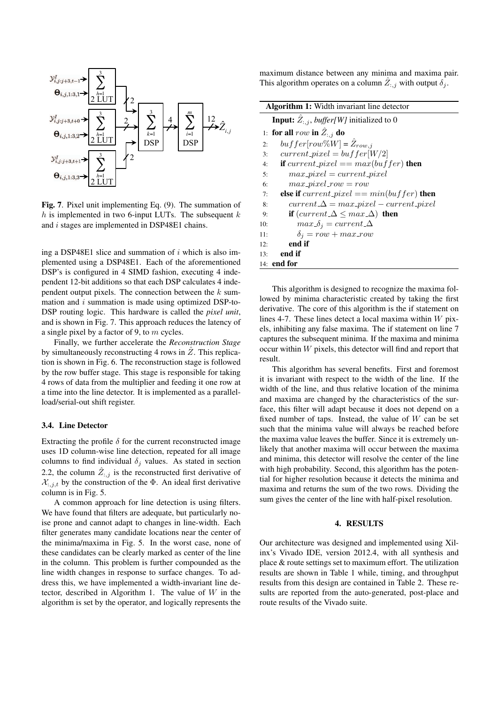

Fig. 7. Pixel unit implementing Eq. (9). The summation of h is implemented in two 6-input LUTs. The subsequent  $k$ and i stages are implemented in DSP48E1 chains.

ing a DSP48E1 slice and summation of  $i$  which is also implemented using a DSP48E1. Each of the aforementioned DSP's is configured in 4 SIMD fashion, executing 4 independent 12-bit additions so that each DSP calculates 4 independent output pixels. The connection between the  $k$  summation and  $i$  summation is made using optimized DSP-to-DSP routing logic. This hardware is called the *pixel unit*, and is shown in Fig. 7. This approach reduces the latency of a single pixel by a factor of 9, to  $m$  cycles.

Finally, we further accelerate the *Reconstruction Stage* by simultaneously reconstructing 4 rows in  $\hat{Z}$ . This replication is shown in Fig. 6. The reconstruction stage is followed by the row buffer stage. This stage is responsible for taking 4 rows of data from the multiplier and feeding it one row at a time into the line detector. It is implemented as a parallelload/serial-out shift register.

# 3.4. Line Detector

Extracting the profile  $\delta$  for the current reconstructed image uses 1D column-wise line detection, repeated for all image columns to find individual  $\delta_i$  values. As stated in section 2.2, the column  $\hat{Z}_{:,j}$  is the reconstructed first derivative of  $\mathcal{X}_{:,j,t}$  by the construction of the  $\Phi$ . An ideal first derivative column is in Fig. 5.

A common approach for line detection is using filters. We have found that filters are adequate, but particularly noise prone and cannot adapt to changes in line-width. Each filter generates many candidate locations near the center of the minima/maxima in Fig. 5. In the worst case, none of these candidates can be clearly marked as center of the line in the column. This problem is further compounded as the line width changes in response to surface changes. To address this, we have implemented a width-invariant line detector, described in Algorithm 1. The value of  $W$  in the algorithm is set by the operator, and logically represents the maximum distance between any minima and maxima pair. This algorithm operates on a column  $\hat{Z}_{:,j}$  with output  $\delta_j$ .

|     | <b>Algorithm 1:</b> Width invariant line detector                           |  |  |  |  |
|-----|-----------------------------------------------------------------------------|--|--|--|--|
|     | <b>Input:</b> $\hat{Z}_{:,j}$ , <i>buffer</i> [ <i>W</i> ] initialized to 0 |  |  |  |  |
|     | 1: for all row in $\hat{Z}_{:,i}$ do                                        |  |  |  |  |
| 2:  | $buffer[row\%W] = \hat{Z}_{row,i}$                                          |  |  |  |  |
| 3:  | $current\_pixel = buffer[W/2]$                                              |  |  |  |  |
| 4:  | if current_pixel == $max(buffer)$ then                                      |  |  |  |  |
| 5:  | $max\_pixel = current\_pixel$                                               |  |  |  |  |
| 6:  | $max\_pixel\_row = row$                                                     |  |  |  |  |
| 7:  | else if $current\_pixel == min(buffer)$ then                                |  |  |  |  |
| 8:  | $current \Delta = max\_pixel - current\_pixel$                              |  |  |  |  |
| 9:  | if $(current \Delta \leq max \Delta)$ then                                  |  |  |  |  |
| 10: | $max\delta_i = current\Delta$                                               |  |  |  |  |
| 11: | $\delta_i = row + max_{i}row$                                               |  |  |  |  |
| 12: | end if                                                                      |  |  |  |  |
| 13: | end if                                                                      |  |  |  |  |
|     | 14: end for                                                                 |  |  |  |  |

This algorithm is designed to recognize the maxima followed by minima characteristic created by taking the first derivative. The core of this algorithm is the if statement on lines 4-7. These lines detect a local maxima within  $W$  pixels, inhibiting any false maxima. The if statement on line 7 captures the subsequent minima. If the maxima and minima occur within W pixels, this detector will find and report that result.

This algorithm has several benefits. First and foremost it is invariant with respect to the width of the line. If the width of the line, and thus relative location of the minima and maxima are changed by the characteristics of the surface, this filter will adapt because it does not depend on a fixed number of taps. Instead, the value of  $W$  can be set such that the minima value will always be reached before the maxima value leaves the buffer. Since it is extremely unlikely that another maxima will occur between the maxima and minima, this detector will resolve the center of the line with high probability. Second, this algorithm has the potential for higher resolution because it detects the minima and maxima and returns the sum of the two rows. Dividing the sum gives the center of the line with half-pixel resolution.

#### 4. RESULTS

Our architecture was designed and implemented using Xilinx's Vivado IDE, version 2012.4, with all synthesis and place & route settings set to maximum effort. The utilization results are shown in Table 1 while, timing, and throughput results from this design are contained in Table 2. These results are reported from the auto-generated, post-place and route results of the Vivado suite.